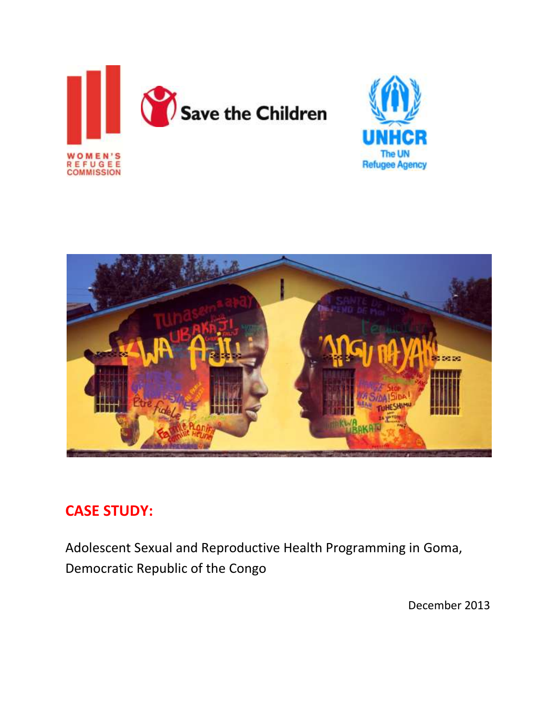





# **CASE STUDY:**

Adolescent Sexual and Reproductive Health Programming in Goma, Democratic Republic of the Congo

December 2013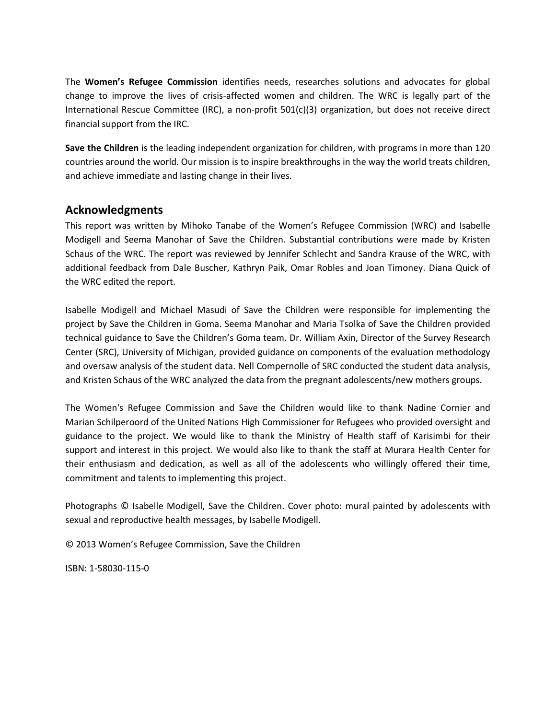The **Women's Refugee Commission** identifies needs, researches solutions and advocates for global change to improve the lives of crisis-affected women and children. The WRC is legally part of the International Rescue Committee (IRC), a non-profit 501(c)(3) organization, but does not receive direct financial support from the IRC.

**Save the Children** is the leading independent organization for children, with programs in more than 120 countries around the world. Our mission is to inspire breakthroughs in the way the world treats children, and achieve immediate and lasting change in their lives.

# **Acknowledgments**

This report was written by Mihoko Tanabe of the Women's Refugee Commission (WRC) and Isabelle Modigell and Seema Manohar of Save the Children. Substantial contributions were made by Kristen Schaus of the WRC. The report was reviewed by Jennifer Schlecht and Sandra Krause of the WRC, with additional feedback from Dale Buscher, Kathryn Paik, Omar Robles and Joan Timoney. Diana Quick of the WRC edited the report.

Isabelle Modigell and Michael Masudi of Save the Children were responsible for implementing the project by Save the Children in Goma. Seema Manohar and Maria Tsolka of Save the Children provided technical guidance to Save the Children's Goma team. Dr. William Axin, Director of the Survey Research Center (SRC), University of Michigan, provided guidance on components of the evaluation methodology and oversaw analysis of the student data. Nell Compernolle of SRC conducted the student data analysis, and Kristen Schaus of the WRC analyzed the data from the pregnant adolescents/new mothers groups.

The Women's Refugee Commission and Save the Children would like to thank Nadine Cornier and Marian Schilperoord of the United Nations High Commissioner for Refugees who provided oversight and guidance to the project. We would like to thank the Ministry of Health staff of Karisimbi for their support and interest in this project. We would also like to thank the staff at Murara Health Center for their enthusiasm and dedication, as well as all of the adolescents who willingly offered their time, commitment and talents to implementing this project.

Photographs © Isabelle Modigell, Save the Children. Cover photo: mural painted by adolescents with sexual and reproductive health messages, by Isabelle Modigell.

© 2013 Women's Refugee Commission, Save the Children

ISBN: 1-58030-115-0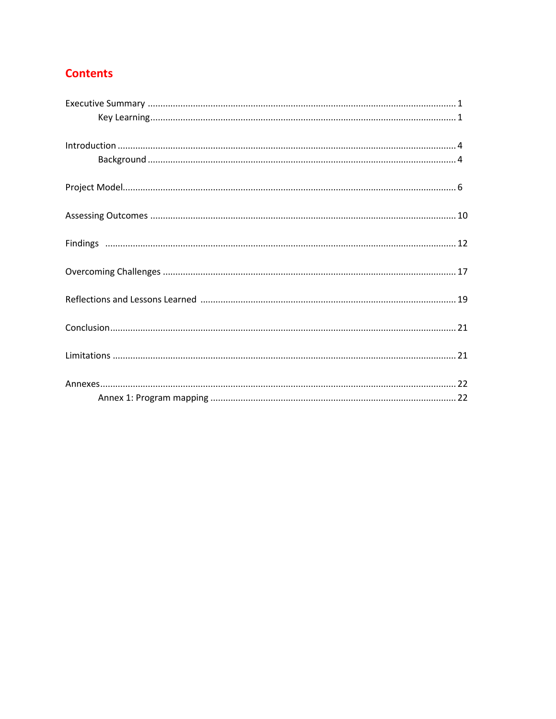# **Contents**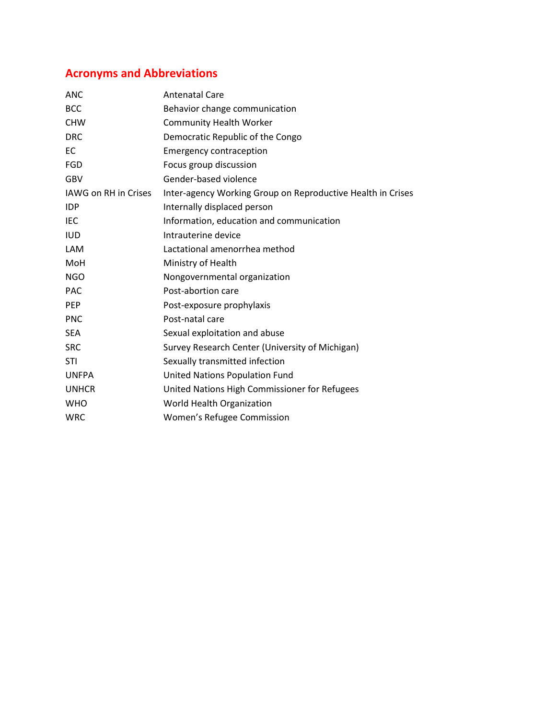# **Acronyms and Abbreviations**

| <b>ANC</b>           | <b>Antenatal Care</b>                                       |
|----------------------|-------------------------------------------------------------|
| <b>BCC</b>           | Behavior change communication                               |
| <b>CHW</b>           | <b>Community Health Worker</b>                              |
| <b>DRC</b>           | Democratic Republic of the Congo                            |
| EC                   | <b>Emergency contraception</b>                              |
| <b>FGD</b>           | Focus group discussion                                      |
| <b>GBV</b>           | Gender-based violence                                       |
| IAWG on RH in Crises | Inter-agency Working Group on Reproductive Health in Crises |
| <b>IDP</b>           | Internally displaced person                                 |
| <b>IEC</b>           | Information, education and communication                    |
| <b>IUD</b>           | Intrauterine device                                         |
| LAM                  | Lactational amenorrhea method                               |
| MoH                  | Ministry of Health                                          |
| <b>NGO</b>           | Nongovernmental organization                                |
| <b>PAC</b>           | Post-abortion care                                          |
| <b>PEP</b>           | Post-exposure prophylaxis                                   |
| <b>PNC</b>           | Post-natal care                                             |
| <b>SEA</b>           | Sexual exploitation and abuse                               |
| <b>SRC</b>           | Survey Research Center (University of Michigan)             |
| <b>STI</b>           | Sexually transmitted infection                              |
| <b>UNFPA</b>         | <b>United Nations Population Fund</b>                       |
| <b>UNHCR</b>         | United Nations High Commissioner for Refugees               |
| <b>WHO</b>           | World Health Organization                                   |
| <b>WRC</b>           | Women's Refugee Commission                                  |
|                      |                                                             |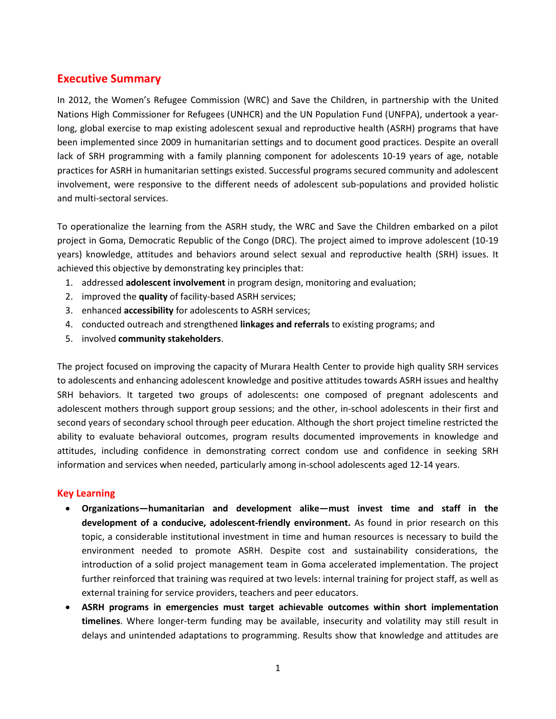# **Executive Summary**

In 2012, the Women's Refugee Commission (WRC) and Save the Children, in partnership with the United Nations High Commissioner for Refugees (UNHCR) and the UN Population Fund (UNFPA), undertook a yearlong, global exercise to map existing adolescent sexual and reproductive health (ASRH) programs that have been implemented since 2009 in humanitarian settings and to document good practices. Despite an overall lack of SRH programming with a family planning component for adolescents 10-19 years of age, notable practices for ASRH in humanitarian settings existed. Successful programs secured community and adolescent involvement, were responsive to the different needs of adolescent sub-populations and provided holistic and multi-sectoral services.

To operationalize the learning from the ASRH study, the WRC and Save the Children embarked on a pilot project in Goma, Democratic Republic of the Congo (DRC). The project aimed to improve adolescent (10-19 years) knowledge, attitudes and behaviors around select sexual and reproductive health (SRH) issues. It achieved this objective by demonstrating key principles that:

- 1. addressed **adolescent involvement** in program design, monitoring and evaluation;
- 2. improved the **quality** of facility-based ASRH services;
- 3. enhanced **accessibility** for adolescents to ASRH services;
- 4. conducted outreach and strengthened **linkages and referrals** to existing programs; and
- 5. involved **community stakeholders**.

The project focused on improving the capacity of Murara Health Center to provide high quality SRH services to adolescents and enhancing adolescent knowledge and positive attitudes towards ASRH issues and healthy SRH behaviors. It targeted two groups of adolescents**:** one composed of pregnant adolescents and adolescent mothers through support group sessions; and the other, in-school adolescents in their first and second years of secondary school through peer education. Although the short project timeline restricted the ability to evaluate behavioral outcomes, program results documented improvements in knowledge and attitudes, including confidence in demonstrating correct condom use and confidence in seeking SRH information and services when needed, particularly among in-school adolescents aged 12-14 years.

## **Key Learning**

- **Organizations—humanitarian and development alike—must invest time and staff in the development of a conducive, adolescent-friendly environment.** As found in prior research on this topic, a considerable institutional investment in time and human resources is necessary to build the environment needed to promote ASRH. Despite cost and sustainability considerations, the introduction of a solid project management team in Goma accelerated implementation. The project further reinforced that training was required at two levels: internal training for project staff, as well as external training for service providers, teachers and peer educators.
- **ASRH programs in emergencies must target achievable outcomes within short implementation timelines**. Where longer-term funding may be available, insecurity and volatility may still result in delays and unintended adaptations to programming. Results show that knowledge and attitudes are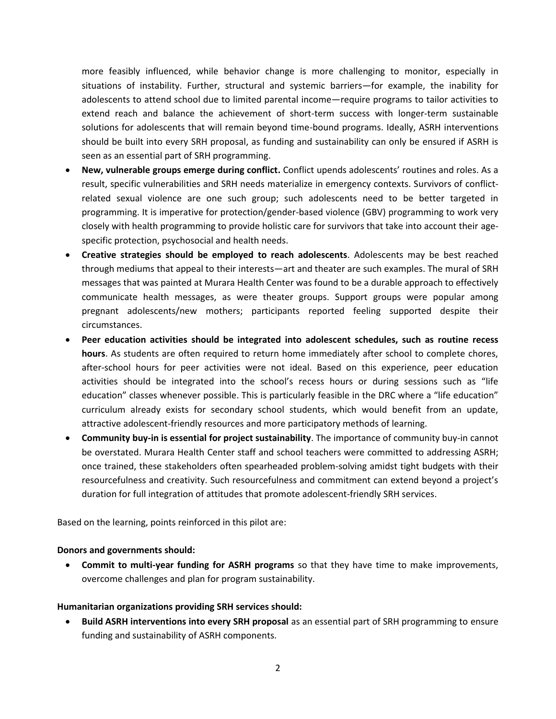more feasibly influenced, while behavior change is more challenging to monitor, especially in situations of instability. Further, structural and systemic barriers—for example, the inability for adolescents to attend school due to limited parental income—require programs to tailor activities to extend reach and balance the achievement of short-term success with longer-term sustainable solutions for adolescents that will remain beyond time-bound programs. Ideally, ASRH interventions should be built into every SRH proposal, as funding and sustainability can only be ensured if ASRH is seen as an essential part of SRH programming.

- **New, vulnerable groups emerge during conflict.** Conflict upends adolescents' routines and roles. As a result, specific vulnerabilities and SRH needs materialize in emergency contexts. Survivors of conflictrelated sexual violence are one such group; such adolescents need to be better targeted in programming. It is imperative for protection/gender-based violence (GBV) programming to work very closely with health programming to provide holistic care for survivors that take into account their agespecific protection, psychosocial and health needs.
- **Creative strategies should be employed to reach adolescents**. Adolescents may be best reached through mediums that appeal to their interests—art and theater are such examples. The mural of SRH messages that was painted at Murara Health Center was found to be a durable approach to effectively communicate health messages, as were theater groups. Support groups were popular among pregnant adolescents/new mothers; participants reported feeling supported despite their circumstances.
- **Peer education activities should be integrated into adolescent schedules, such as routine recess hours**. As students are often required to return home immediately after school to complete chores, after-school hours for peer activities were not ideal. Based on this experience, peer education activities should be integrated into the school's recess hours or during sessions such as "life education" classes whenever possible. This is particularly feasible in the DRC where a "life education" curriculum already exists for secondary school students, which would benefit from an update, attractive adolescent-friendly resources and more participatory methods of learning.
- **Community buy-in is essential for project sustainability**. The importance of community buy-in cannot be overstated. Murara Health Center staff and school teachers were committed to addressing ASRH; once trained, these stakeholders often spearheaded problem-solving amidst tight budgets with their resourcefulness and creativity. Such resourcefulness and commitment can extend beyond a project's duration for full integration of attitudes that promote adolescent-friendly SRH services.

Based on the learning, points reinforced in this pilot are:

#### **Donors and governments should:**

 **Commit to multi-year funding for ASRH programs** so that they have time to make improvements, overcome challenges and plan for program sustainability.

## **Humanitarian organizations providing SRH services should:**

 **Build ASRH interventions into every SRH proposal** as an essential part of SRH programming to ensure funding and sustainability of ASRH components.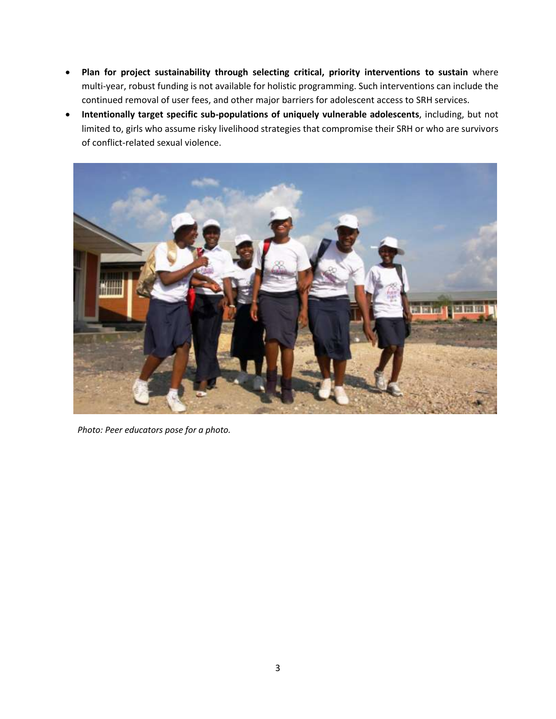- **Plan for project sustainability through selecting critical, priority interventions to sustain** where multi-year, robust funding is not available for holistic programming. Such interventions can include the continued removal of user fees, and other major barriers for adolescent access to SRH services.
- **Intentionally target specific sub-populations of uniquely vulnerable adolescents**, including, but not limited to, girls who assume risky livelihood strategies that compromise their SRH or who are survivors of conflict-related sexual violence.



*Photo: Peer educators pose for a photo.*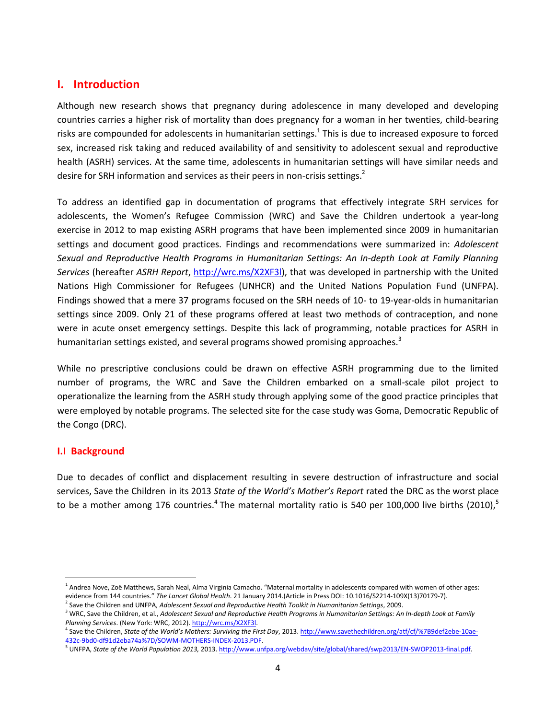# **I. Introduction**

Although new research shows that pregnancy during adolescence in many developed and developing countries carries a higher risk of mortality than does pregnancy for a woman in her twenties, child-bearing risks are compounded for adolescents in humanitarian settings.<sup>1</sup> This is due to increased exposure to forced sex, increased risk taking and reduced availability of and sensitivity to adolescent sexual and reproductive health (ASRH) services. At the same time, adolescents in humanitarian settings will have similar needs and desire for SRH information and services as their peers in non-crisis settings.<sup>2</sup>

To address an identified gap in documentation of programs that effectively integrate SRH services for adolescents, the Women's Refugee Commission (WRC) and Save the Children undertook a year-long exercise in 2012 to map existing ASRH programs that have been implemented since 2009 in humanitarian settings and document good practices. Findings and recommendations were summarized in: *Adolescent Sexual and Reproductive Health Programs in Humanitarian Settings: An In-depth Look at Family Planning Services* (hereafter *ASRH Report*, [http://wrc.ms/X2XF3l\)](http://wrc.ms/X2XF3l), that was developed in partnership with the United Nations High Commissioner for Refugees (UNHCR) and the United Nations Population Fund (UNFPA). Findings showed that a mere 37 programs focused on the SRH needs of 10- to 19-year-olds in humanitarian settings since 2009. Only 21 of these programs offered at least two methods of contraception, and none were in acute onset emergency settings. Despite this lack of programming, notable practices for ASRH in humanitarian settings existed, and several programs showed promising approaches. $3$ 

While no prescriptive conclusions could be drawn on effective ASRH programming due to the limited number of programs, the WRC and Save the Children embarked on a small-scale pilot project to operationalize the learning from the ASRH study through applying some of the good practice principles that were employed by notable programs. The selected site for the case study was Goma, Democratic Republic of the Congo (DRC).

## **I.I Background**

 $\overline{\phantom{a}}$ 

Due to decades of conflict and displacement resulting in severe destruction of infrastructure and social services, Save the Children in its 2013 *State of the World's Mother's Report* rated the DRC as the worst place to be a mother among 176 countries.<sup>4</sup> The maternal mortality ratio is 540 per 100,000 live births (2010),<sup>5</sup>

<sup>&</sup>lt;sup>1</sup> Andrea Nove, Zoë Matthews, Sarah Neal, Alma Virginia Camacho. "Maternal mortality in adolescents compared with women of other ages: evidence from 144 countries." *The Lancet Global Health*. 21 January 2014.(Article in Press DOI: 10.1016/S2214-109X(13)70179-7).

<sup>2</sup> Save the Children and UNFPA, *Adolescent Sexual and Reproductive Health Toolkit in Humanitarian Settings*, 2009.

<sup>3</sup> WRC, Save the Children, et al., *Adolescent Sexual and Reproductive Health Programs in Humanitarian Settings: An In-depth Look at Family*  Planning Services. (New York: WRC, 2012)[. http://wrc.ms/X2XF3l.](http://wrc.ms/X2XF3l)

<sup>4</sup> Save the Children, *State of the World's Mothers: Surviving the First Day*, 2013[. http://www.savethechildren.org/atf/cf/%7B9def2ebe-10ae-](http://www.savethechildren.org/atf/cf/%7B9def2ebe-10ae-432c-9bd0-df91d2eba74a%7D/SOWM-MOTHERS-INDEX-2013.PDF)[432c-9bd0-df91d2eba74a%7D/SOWM-MOTHERS-INDEX-2013.PDF.](http://www.savethechildren.org/atf/cf/%7B9def2ebe-10ae-432c-9bd0-df91d2eba74a%7D/SOWM-MOTHERS-INDEX-2013.PDF)

<sup>5</sup> UNFPA, *State of the World Population 2013,* 2013[. http://www.unfpa.org/webdav/site/global/shared/swp2013/EN-SWOP2013-final.pdf.](http://www.unfpa.org/webdav/site/global/shared/swp2013/EN-SWOP2013-final.pdf)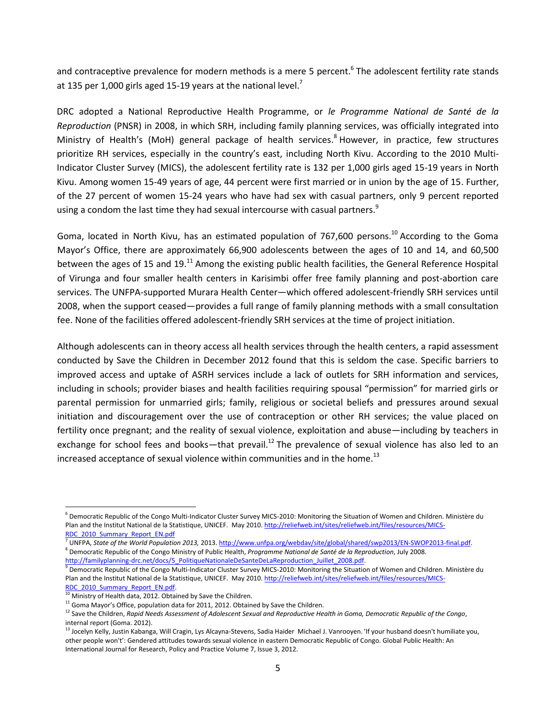and contraceptive prevalence for modern methods is a mere 5 percent.<sup>6</sup> The adolescent fertility rate stands at 135 per 1,000 girls aged 15-19 years at the national level.<sup>7</sup>

DRC adopted a National Reproductive Health Programme, or *le Programme National de Santé de la Reproduction* (PNSR) in 2008, in which SRH, including family planning services, was officially integrated into Ministry of Health's (MoH) general package of health services.<sup>8</sup> However, in practice, few structures prioritize RH services, especially in the country's east, including North Kivu. According to the 2010 Multi-Indicator Cluster Survey (MICS), the adolescent fertility rate is 132 per 1,000 girls aged 15-19 years in North Kivu. Among women 15-49 years of age, 44 percent were first married or in union by the age of 15. Further, of the 27 percent of women 15-24 years who have had sex with casual partners, only 9 percent reported using a condom the last time they had sexual intercourse with casual partners.<sup>9</sup>

Goma, located in North Kivu, has an estimated population of 767,600 persons.<sup>10</sup> According to the Goma Mayor's Office, there are approximately 66,900 adolescents between the ages of 10 and 14, and 60,500 between the ages of 15 and 19.<sup>11</sup> Among the existing public health facilities, the General Reference Hospital of Virunga and four smaller health centers in Karisimbi offer free family planning and post-abortion care services. The UNFPA-supported Murara Health Center—which offered adolescent-friendly SRH services until 2008, when the support ceased—provides a full range of family planning methods with a small consultation fee. None of the facilities offered adolescent-friendly SRH services at the time of project initiation.

Although adolescents can in theory access all health services through the health centers, a rapid assessment conducted by Save the Children in December 2012 found that this is seldom the case. Specific barriers to improved access and uptake of ASRH services include a lack of outlets for SRH information and services, including in schools; provider biases and health facilities requiring spousal "permission" for married girls or parental permission for unmarried girls; family, religious or societal beliefs and pressures around sexual initiation and discouragement over the use of contraception or other RH services; the value placed on fertility once pregnant; and the reality of sexual violence, exploitation and abuse—including by teachers in exchange for school fees and books—that prevail.<sup>12</sup> The prevalence of sexual violence has also led to an increased acceptance of sexual violence within communities and in the home.<sup>13</sup>

 $\overline{\phantom{a}}$ 

<sup>&</sup>lt;sup>6</sup> Democratic Republic of the Congo Multi-Indicator Cluster Survey MICS-2010: Monitoring the Situation of Women and Children. Ministère du Plan and the Institut National de la Statistique, UNICEF. May 2010. [http://reliefweb.int/sites/reliefweb.int/files/resources/MICS-](http://reliefweb.int/sites/reliefweb.int/files/resources/MICS-RDC_2010_Summary_Report_EN.pdf)[RDC\\_2010\\_Summary\\_Report\\_EN.pdf](http://reliefweb.int/sites/reliefweb.int/files/resources/MICS-RDC_2010_Summary_Report_EN.pdf)

<sup>&</sup>lt;sup>7</sup> UNFPA, *State of the World Population 2013,* 2013. http://www.unfpa.org/webdav/site/global/shared/swp2013/EN-SWOP2013-final.pdf. 8 Democratic Republic of the Congo Ministry of Public Health, *Programme National de Santé de la Reproduction*, July 2008. [http://familyplanning-drc.net/docs/5\\_PolitiqueNationaleDeSanteDeLaReproduction\\_Juillet\\_2008.pdf.](http://familyplanning-drc.net/docs/5_PolitiqueNationaleDeSanteDeLaReproduction_Juillet_2008.pdf)

 $^9$  Democratic Republic of the Congo Multi-Indicator Cluster Survey MICS-2010: Monitoring the Situation of Women and Children. Ministère du Plan and the Institut National de la Statistique, UNICEF. May 2010[. http://reliefweb.int/sites/reliefweb.int/files/resources/MICS-](http://reliefweb.int/sites/reliefweb.int/files/resources/MICS-RDC_2010_Summary_Report_EN.pdf)[RDC\\_2010\\_Summary\\_Report\\_EN.pdf.](http://reliefweb.int/sites/reliefweb.int/files/resources/MICS-RDC_2010_Summary_Report_EN.pdf)

 $^0$  Ministry of Health data, 2012. Obtained by Save the Children.

 $11$  Goma Mayor's Office, population data for 2011, 2012. Obtained by Save the Children.

<sup>12</sup> Save the Children, *Rapid Needs Assessment of Adolescent Sexual and Reproductive Health in Goma, Democratic Republic of the Congo*, internal report (Goma. 2012).

<sup>&</sup>lt;sup>13</sup> Jocelyn Kelly, Justin Kabanga, Will Cragin, Lys Alcayna-Stevens, Sadia Haider Michael J. Vanrooyen. 'If your husband doesn't humiliate you, other people won't': Gendered attitudes towards sexual violence in eastern Democratic Republic of Congo. Global Public Health: An International Journal for Research, Policy and Practice Volume 7, Issue 3, 2012.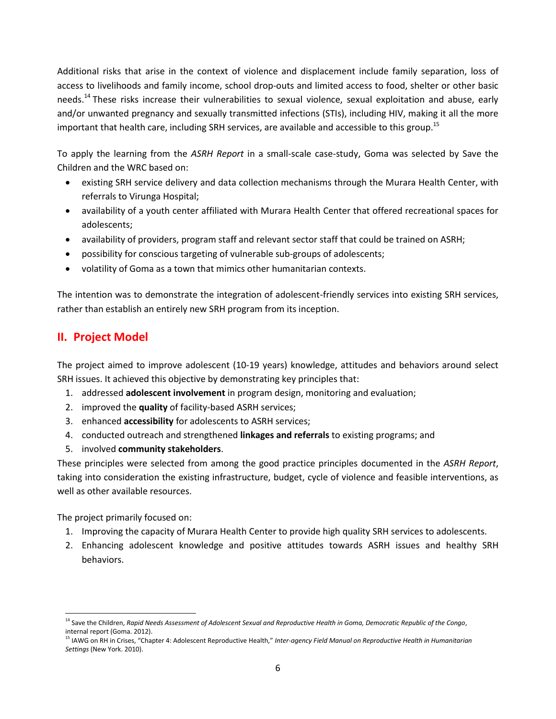Additional risks that arise in the context of violence and displacement include family separation, loss of access to livelihoods and family income, school drop-outs and limited access to food, shelter or other basic needs.<sup>14</sup> These risks increase their vulnerabilities to sexual violence, sexual exploitation and abuse, early and/or unwanted pregnancy and sexually transmitted infections (STIs), including HIV, making it all the more important that health care, including SRH services, are available and accessible to this group.<sup>15</sup>

To apply the learning from the *ASRH Report* in a small-scale case-study, Goma was selected by Save the Children and the WRC based on:

- existing SRH service delivery and data collection mechanisms through the Murara Health Center, with referrals to Virunga Hospital;
- availability of a youth center affiliated with Murara Health Center that offered recreational spaces for adolescents;
- availability of providers, program staff and relevant sector staff that could be trained on ASRH;
- possibility for conscious targeting of vulnerable sub-groups of adolescents;
- volatility of Goma as a town that mimics other humanitarian contexts.

The intention was to demonstrate the integration of adolescent-friendly services into existing SRH services, rather than establish an entirely new SRH program from its inception.

# **II. Project Model**

The project aimed to improve adolescent (10-19 years) knowledge, attitudes and behaviors around select SRH issues. It achieved this objective by demonstrating key principles that:

- 1. addressed **adolescent involvement** in program design, monitoring and evaluation;
- 2. improved the **quality** of facility-based ASRH services;
- 3. enhanced **accessibility** for adolescents to ASRH services;
- 4. conducted outreach and strengthened **linkages and referrals** to existing programs; and
- 5. involved **community stakeholders**.

These principles were selected from among the good practice principles documented in the *ASRH Report*, taking into consideration the existing infrastructure, budget, cycle of violence and feasible interventions, as well as other available resources.

The project primarily focused on:

- 1. Improving the capacity of Murara Health Center to provide high quality SRH services to adolescents.
- 2. Enhancing adolescent knowledge and positive attitudes towards ASRH issues and healthy SRH behaviors.

l <sup>14</sup> Save the Children, *Rapid Needs Assessment of Adolescent Sexual and Reproductive Health in Goma, Democratic Republic of the Congo*, internal report (Goma. 2012).

<sup>&</sup>lt;sup>15</sup> IAWG on RH in Crises, "Chapter 4: Adolescent Reproductive Health," Inter-agency Field Manual on Reproductive Health in Humanitarian *Settings* (New York. 2010).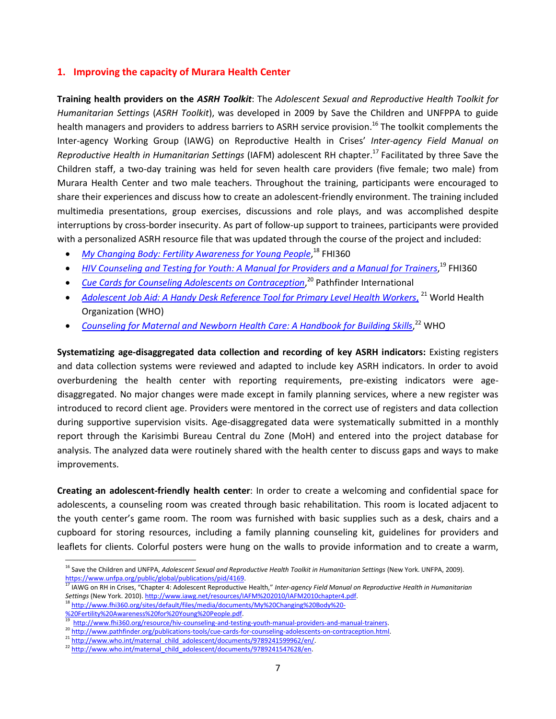## **1. Improving the capacity of Murara Health Center**

**Training health providers on the** *ASRH Toolkit*: The *Adolescent Sexual and Reproductive Health Toolkit for Humanitarian Settings* (*ASRH Toolkit*), was developed in 2009 by Save the Children and UNFPPA to guide health managers and providers to address barriers to ASRH service provision.<sup>16</sup> The toolkit complements the Inter-agency Working Group (IAWG) on Reproductive Health in Crises' *Inter-agency Field Manual on Reproductive Health in Humanitarian Settings* (IAFM) adolescent RH chapter. <sup>17</sup> Facilitated by three Save the Children staff, a two-day training was held for seven health care providers (five female; two male) from Murara Health Center and two male teachers. Throughout the training, participants were encouraged to share their experiences and discuss how to create an adolescent-friendly environment. The training included multimedia presentations, group exercises, discussions and role plays, and was accomplished despite interruptions by cross-border insecurity. As part of follow-up support to trainees, participants were provided with a personalized ASRH resource file that was updated through the course of the project and included:

- *[My Changing Body: Fertility Awareness for Young People](http://www.fhi360.org/sites/default/files/media/documents/My%20Changing%20Body%20-%20Fertility%20Awareness%20for%20Young%20People.pdf)*, <sup>18</sup> FHI360
- [HIV Counseling and Testing for Youth: A Manual for Providers and a Manual for Trainers](file://nyfs2/wcrwc/reports/REPRODUCTIVE%20HEALTH%20Reports/ASRH%20Pilot%20report%202014/2.%09%20http:/www.fhi360.org/resource/hiv-counseling-and-testing-youth-manual-providers-and-manual-trainers),<sup>19</sup> FHI360
- **•** [Cue Cards for Counseling Adolescents on Contraception](http://www.pathfinder.org/publications-tools/cue-cards-for-counseling-adolescents-on-contraception.html),<sup>20</sup> Pathfinder International
- *[Adolescent Job Aid: A Handy Desk Reference Tool](http://www.who.int/maternal_child_adolescent/documents/9789241599962/en/) for Primary Level Health Workers*, <sup>21</sup> World Health Organization (WHO)
- [Counseling for Maternal and Newborn Health Care: A Handbook for Building Skills](http://www.who.int/maternal_child_adolescent/documents/9789241547628/en),<sup>22</sup> WHO

**Systematizing age-disaggregated data collection and recording of key ASRH indicators:** Existing registers and data collection systems were reviewed and adapted to include key ASRH indicators. In order to avoid overburdening the health center with reporting requirements, pre-existing indicators were agedisaggregated. No major changes were made except in family planning services, where a new register was introduced to record client age. Providers were mentored in the correct use of registers and data collection during supportive supervision visits. Age-disaggregated data were systematically submitted in a monthly report through the Karisimbi Bureau Central du Zone (MoH) and entered into the project database for analysis. The analyzed data were routinely shared with the health center to discuss gaps and ways to make improvements.

**Creating an adolescent-friendly health center**: In order to create a welcoming and confidential space for adolescents, a counseling room was created through basic rehabilitation. This room is located adjacent to the youth center's game room. The room was furnished with basic supplies such as a desk, chairs and a cupboard for storing resources, including a family planning counseling kit, guidelines for providers and leaflets for clients. Colorful posters were hung on the walls to provide information and to create a warm,

 $\overline{\phantom{a}}$ 

<sup>&</sup>lt;sup>16</sup> Save the Children and UNFPA, *Adolescent Sexual and Reproductive Health Toolkit in Humanitarian Settings* (New York. UNFPA, 2009). [https://www.unfpa.org/public/global/publications/pid/4169.](https://www.unfpa.org/public/global/publications/pid/4169)

<sup>&</sup>lt;sup>17</sup> IAWG on RH in Crises, "Chapter 4: Adolescent Reproductive Health," Inter-agency Field Manual on Reproductive Health in Humanitarian *Settings* (New York. 2010)[. http://www.iawg.net/resources/IAFM%202010/IAFM2010chapter4.pdf.](http://www.iawg.net/resources/IAFM%202010/IAFM2010chapter4.pdf) 

<sup>18</sup> [http://www.fhi360.org/sites/default/files/media/documents/My%20Changing%20Body%20-](http://www.fhi360.org/sites/default/files/media/documents/My%20Changing%20Body%20-%20Fertility%20Awareness%20for%20Young%20People.pdf) [%20Fertility%20Awareness%20for%20Young%20People.pdf.](http://www.fhi360.org/sites/default/files/media/documents/My%20Changing%20Body%20-%20Fertility%20Awareness%20for%20Young%20People.pdf)

<sup>&</sup>lt;sup>19</sup> [http://www.fhi360.org/resource/hiv-counseling-and-testing-youth-manual-providers-and-manual-trainers.](http://www.fhi360.org/resource/hiv-counseling-and-testing-youth-manual-providers-and-manual-trainers)

<sup>20</sup> [http://www.pathfinder.org/publications-tools/cue-cards-for-counseling-adolescents-on-contraception.html.](http://www.pathfinder.org/publications-tools/cue-cards-for-counseling-adolescents-on-contraception.html)

<sup>&</sup>lt;sup>21</sup> [http://www.who.int/maternal\\_child\\_adolescent/documents/9789241599962/en/.](http://www.who.int/maternal_child_adolescent/documents/9789241599962/en/)

<sup>&</sup>lt;sup>22</sup> [http://www.who.int/maternal\\_child\\_adolescent/documents/9789241547628/en.](http://www.who.int/maternal_child_adolescent/documents/9789241547628/en)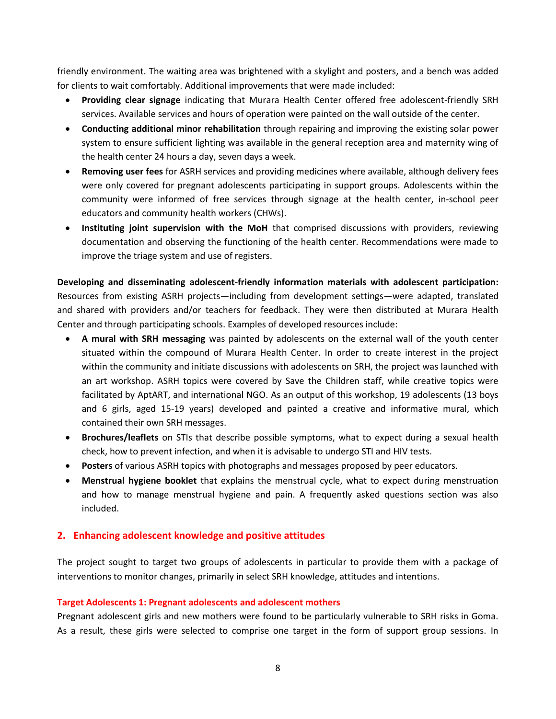friendly environment. The waiting area was brightened with a skylight and posters, and a bench was added for clients to wait comfortably. Additional improvements that were made included:

- **Providing clear signage** indicating that Murara Health Center offered free adolescent-friendly SRH services. Available services and hours of operation were painted on the wall outside of the center.
- **Conducting additional minor rehabilitation** through repairing and improving the existing solar power system to ensure sufficient lighting was available in the general reception area and maternity wing of the health center 24 hours a day, seven days a week.
- **Removing user fees** for ASRH services and providing medicines where available, although delivery fees were only covered for pregnant adolescents participating in support groups. Adolescents within the community were informed of free services through signage at the health center, in-school peer educators and community health workers (CHWs).
- **Instituting joint supervision with the MoH** that comprised discussions with providers, reviewing documentation and observing the functioning of the health center. Recommendations were made to improve the triage system and use of registers.

**Developing and disseminating adolescent-friendly information materials with adolescent participation:** Resources from existing ASRH projects—including from development settings—were adapted, translated and shared with providers and/or teachers for feedback. They were then distributed at Murara Health Center and through participating schools. Examples of developed resources include:

- **A mural with SRH messaging** was painted by adolescents on the external wall of the youth center situated within the compound of Murara Health Center. In order to create interest in the project within the community and initiate discussions with adolescents on SRH, the project was launched with an art workshop. ASRH topics were covered by Save the Children staff, while creative topics were facilitated by AptART, and international NGO. As an output of this workshop, 19 adolescents (13 boys and 6 girls, aged 15-19 years) developed and painted a creative and informative mural, which contained their own SRH messages.
- **Brochures/leaflets** on STIs that describe possible symptoms, what to expect during a sexual health check, how to prevent infection, and when it is advisable to undergo STI and HIV tests.
- **Posters** of various ASRH topics with photographs and messages proposed by peer educators.
- **Menstrual hygiene booklet** that explains the menstrual cycle, what to expect during menstruation and how to manage menstrual hygiene and pain. A frequently asked questions section was also included.

# **2. Enhancing adolescent knowledge and positive attitudes**

The project sought to target two groups of adolescents in particular to provide them with a package of interventions to monitor changes, primarily in select SRH knowledge, attitudes and intentions.

## **Target Adolescents 1: Pregnant adolescents and adolescent mothers**

Pregnant adolescent girls and new mothers were found to be particularly vulnerable to SRH risks in Goma. As a result, these girls were selected to comprise one target in the form of support group sessions. In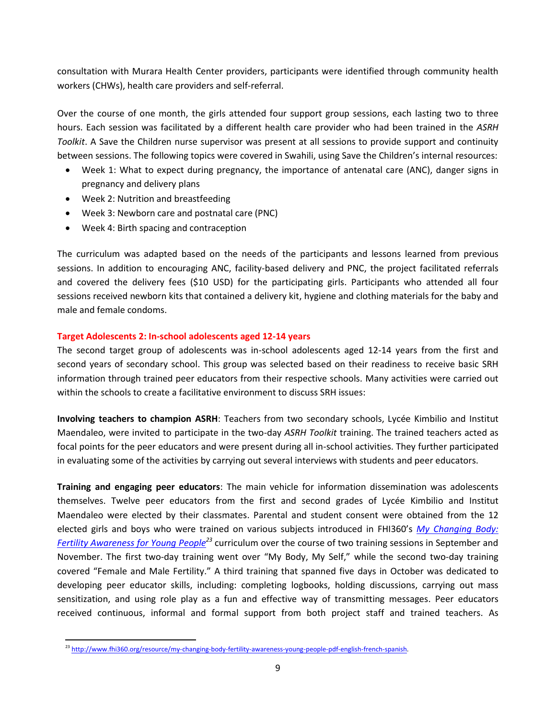consultation with Murara Health Center providers, participants were identified through community health workers (CHWs), health care providers and self-referral.

Over the course of one month, the girls attended four support group sessions, each lasting two to three hours. Each session was facilitated by a different health care provider who had been trained in the *ASRH Toolkit*. A Save the Children nurse supervisor was present at all sessions to provide support and continuity between sessions. The following topics were covered in Swahili, using Save the Children's internal resources:

- Week 1: What to expect during pregnancy, the importance of antenatal care (ANC), danger signs in pregnancy and delivery plans
- Week 2: Nutrition and breastfeeding
- Week 3: Newborn care and postnatal care (PNC)
- Week 4: Birth spacing and contraception

The curriculum was adapted based on the needs of the participants and lessons learned from previous sessions. In addition to encouraging ANC, facility-based delivery and PNC, the project facilitated referrals and covered the delivery fees (\$10 USD) for the participating girls. Participants who attended all four sessions received newborn kits that contained a delivery kit, hygiene and clothing materials for the baby and male and female condoms.

## **Target Adolescents 2: In-school adolescents aged 12-14 years**

The second target group of adolescents was in-school adolescents aged 12-14 years from the first and second years of secondary school. This group was selected based on their readiness to receive basic SRH information through trained peer educators from their respective schools. Many activities were carried out within the schools to create a facilitative environment to discuss SRH issues:

**Involving teachers to champion ASRH**: Teachers from two secondary schools, Lycée Kimbilio and Institut Maendaleo, were invited to participate in the two-day *ASRH Toolkit* training. The trained teachers acted as focal points for the peer educators and were present during all in-school activities. They further participated in evaluating some of the activities by carrying out several interviews with students and peer educators.

**Training and engaging peer educators**: The main vehicle for information dissemination was adolescents themselves. Twelve peer educators from the first and second grades of Lycée Kimbilio and Institut Maendaleo were elected by their classmates. Parental and student consent were obtained from the 12 elected girls and boys who were trained on various subjects introduced in FHI360's *[My Changing Body:](http://www.fhi360.org/resource/my-changing-body-fertility-awareness-young-people-pdf-english-french-spanish)  [Fertility Awareness for Young People](http://www.fhi360.org/resource/my-changing-body-fertility-awareness-young-people-pdf-english-french-spanish)<sup>23</sup>* curriculum over the course of two training sessions in September and November. The first two-day training went over "My Body, My Self," while the second two-day training covered "Female and Male Fertility." A third training that spanned five days in October was dedicated to developing peer educator skills, including: completing logbooks, holding discussions, carrying out mass sensitization, and using role play as a fun and effective way of transmitting messages. Peer educators received continuous, informal and formal support from both project staff and trained teachers. As

l <sup>23</sup> [http://www.fhi360.org/resource/my-changing-body-fertility-awareness-young-people-pdf-english-french-spanish.](http://www.fhi360.org/resource/my-changing-body-fertility-awareness-young-people-pdf-english-french-spanish)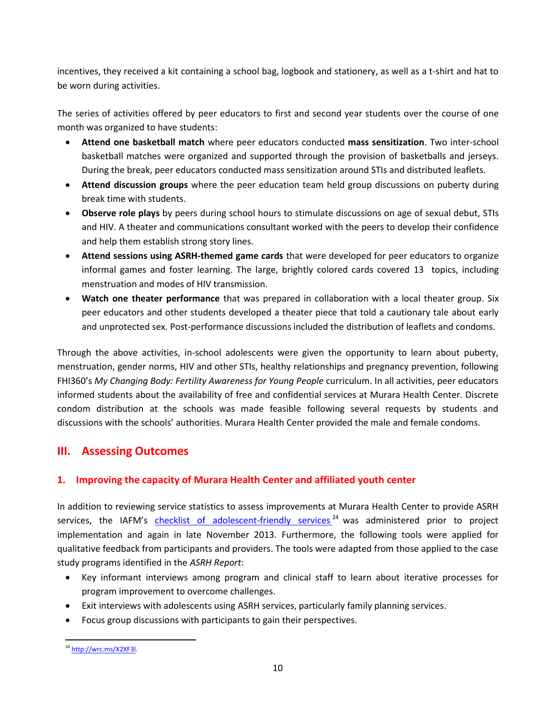incentives, they received a kit containing a school bag, logbook and stationery, as well as a t-shirt and hat to be worn during activities.

The series of activities offered by peer educators to first and second year students over the course of one month was organized to have students:

- **Attend one basketball match** where peer educators conducted **mass sensitization**. Two inter-school basketball matches were organized and supported through the provision of basketballs and jerseys. During the break, peer educators conducted mass sensitization around STIs and distributed leaflets.
- **Attend discussion groups** where the peer education team held group discussions on puberty during break time with students.
- **Observe role plays** by peers during school hours to stimulate discussions on age of sexual debut, STIs and HIV. A theater and communications consultant worked with the peers to develop their confidence and help them establish strong story lines.
- **Attend sessions using ASRH-themed game cards** that were developed for peer educators to organize informal games and foster learning. The large, brightly colored cards covered 13 topics, including menstruation and modes of HIV transmission.
- **Watch one theater performance** that was prepared in collaboration with a local theater group. Six peer educators and other students developed a theater piece that told a cautionary tale about early and unprotected sex. Post-performance discussions included the distribution of leaflets and condoms.

Through the above activities, in-school adolescents were given the opportunity to learn about puberty, menstruation, gender norms, HIV and other STIs, healthy relationships and pregnancy prevention, following FHI360's *My Changing Body: Fertility Awareness for Young People* curriculum. In all activities, peer educators informed students about the availability of free and confidential services at Murara Health Center. Discrete condom distribution at the schools was made feasible following several requests by students and discussions with the schools' authorities. Murara Health Center provided the male and female condoms.

# **III. Assessing Outcomes**

# **1. Improving the capacity of Murara Health Center and affiliated youth center**

In addition to reviewing service statistics to assess improvements at Murara Health Center to provide ASRH services, the IAFM's [checklist of adolescent-friendly services](http://wrc.ms/X2XF3l)<sup>24</sup> was administered prior to project implementation and again in late November 2013. Furthermore, the following tools were applied for qualitative feedback from participants and providers. The tools were adapted from those applied to the case study programs identified in the *ASRH Report*:

- Key informant interviews among program and clinical staff to learn about iterative processes for program improvement to overcome challenges.
- Exit interviews with adolescents using ASRH services, particularly family planning services.
- Focus group discussions with participants to gain their perspectives.

l <sup>24</sup> [http://wrc.ms/X2XF3l.](http://wrc.ms/X2XF3l)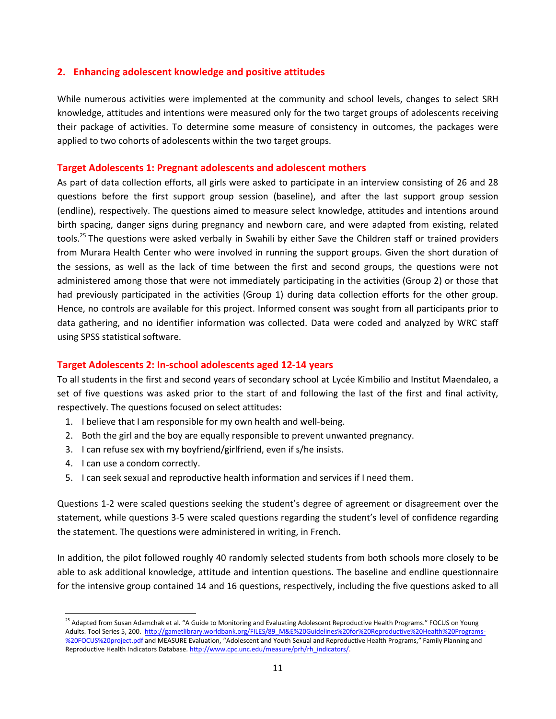# **2. Enhancing adolescent knowledge and positive attitudes**

While numerous activities were implemented at the community and school levels, changes to select SRH knowledge, attitudes and intentions were measured only for the two target groups of adolescents receiving their package of activities. To determine some measure of consistency in outcomes, the packages were applied to two cohorts of adolescents within the two target groups.

# **Target Adolescents 1: Pregnant adolescents and adolescent mothers**

As part of data collection efforts, all girls were asked to participate in an interview consisting of 26 and 28 questions before the first support group session (baseline), and after the last support group session (endline), respectively. The questions aimed to measure select knowledge, attitudes and intentions around birth spacing, danger signs during pregnancy and newborn care, and were adapted from existing, related tools.<sup>25</sup> The questions were asked verbally in Swahili by either Save the Children staff or trained providers from Murara Health Center who were involved in running the support groups. Given the short duration of the sessions, as well as the lack of time between the first and second groups, the questions were not administered among those that were not immediately participating in the activities (Group 2) or those that had previously participated in the activities (Group 1) during data collection efforts for the other group. Hence, no controls are available for this project. Informed consent was sought from all participants prior to data gathering, and no identifier information was collected. Data were coded and analyzed by WRC staff using SPSS statistical software.

# **Target Adolescents 2: In-school adolescents aged 12-14 years**

To all students in the first and second years of secondary school at Lycée Kimbilio and Institut Maendaleo, a set of five questions was asked prior to the start of and following the last of the first and final activity, respectively. The questions focused on select attitudes:

- 1. I believe that I am responsible for my own health and well-being.
- 2. Both the girl and the boy are equally responsible to prevent unwanted pregnancy.
- 3. I can refuse sex with my boyfriend/girlfriend, even if s/he insists.
- 4. I can use a condom correctly.

l

5. I can seek sexual and reproductive health information and services if I need them.

Questions 1-2 were scaled questions seeking the student's degree of agreement or disagreement over the statement, while questions 3-5 were scaled questions regarding the student's level of confidence regarding the statement. The questions were administered in writing, in French.

In addition, the pilot followed roughly 40 randomly selected students from both schools more closely to be able to ask additional knowledge, attitude and intention questions. The baseline and endline questionnaire for the intensive group contained 14 and 16 questions, respectively, including the five questions asked to all

<sup>&</sup>lt;sup>25</sup> Adapted from Susan Adamchak et al. "A Guide to Monitoring and Evaluating Adolescent Reproductive Health Programs." FOCUS on Young Adults. Tool Series 5, 200.[http://gametlibrary.worldbank.org/FILES/89\\_M&E%20Guidelines%20for%20Reproductive%20Health%20Programs-](http://gametlibrary.worldbank.org/FILES/89_M&E%20Guidelines%20for%20Reproductive%20Health%20Programs-%20FOCUS%20project.pdf) [%20FOCUS%20project.pdf](http://gametlibrary.worldbank.org/FILES/89_M&E%20Guidelines%20for%20Reproductive%20Health%20Programs-%20FOCUS%20project.pdf) and MEASURE Evaluation, "Adolescent and Youth Sexual and Reproductive Health Programs," Family Planning and Reproductive Health Indicators Database[. http://www.cpc.unc.edu/measure/prh/rh\\_indicators/.](http://www.cpc.unc.edu/measure/prh/rh_indicators/)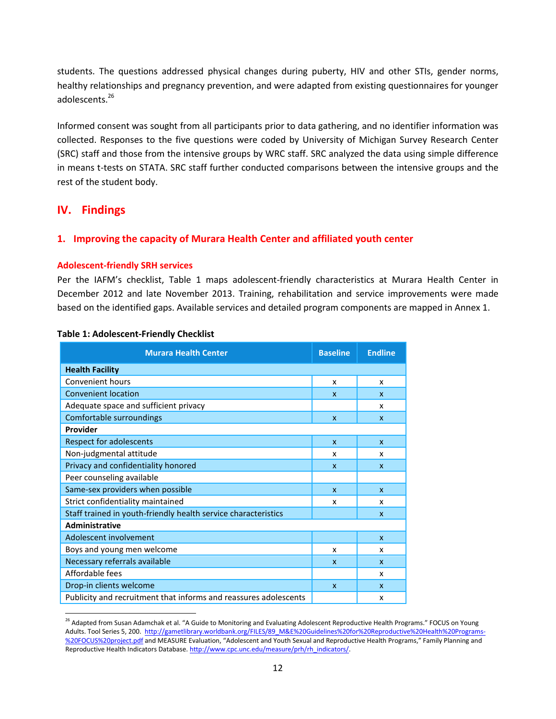students. The questions addressed physical changes during puberty, HIV and other STIs, gender norms, healthy relationships and pregnancy prevention, and were adapted from existing questionnaires for younger adolescents.<sup>26</sup>

Informed consent was sought from all participants prior to data gathering, and no identifier information was collected. Responses to the five questions were coded by University of Michigan Survey Research Center (SRC) staff and those from the intensive groups by WRC staff. SRC analyzed the data using simple difference in means t-tests on STATA. SRC staff further conducted comparisons between the intensive groups and the rest of the student body.

# **IV. Findings**

l

# **1. Improving the capacity of Murara Health Center and affiliated youth center**

## **Adolescent-friendly SRH services**

Per the IAFM's checklist, Table 1 maps adolescent-friendly characteristics at Murara Health Center in December 2012 and late November 2013. Training, rehabilitation and service improvements were made based on the identified gaps. Available services and detailed program components are mapped in Annex 1.

| <b>Murara Health Center</b>                                      | <b>Baseline</b> | <b>Endline</b>            |
|------------------------------------------------------------------|-----------------|---------------------------|
| <b>Health Facility</b>                                           |                 |                           |
| Convenient hours                                                 | x               | x                         |
| <b>Convenient location</b>                                       | X               | $\mathsf{x}$              |
| Adequate space and sufficient privacy                            |                 | x                         |
| Comfortable surroundings                                         | $\mathsf{x}$    | $\boldsymbol{\mathsf{x}}$ |
| Provider                                                         |                 |                           |
| Respect for adolescents                                          | $\mathbf{x}$    | $\mathsf{x}$              |
| Non-judgmental attitude                                          | x               | x                         |
| Privacy and confidentiality honored                              | X               | $\mathbf{x}$              |
| Peer counseling available                                        |                 |                           |
| Same-sex providers when possible                                 | $\mathsf{x}$    | $\mathsf{x}$              |
| Strict confidentiality maintained                                | x               | x                         |
| Staff trained in youth-friendly health service characteristics   |                 | X                         |
| <b>Administrative</b>                                            |                 |                           |
| Adolescent involvement                                           |                 | $\mathsf{x}$              |
| Boys and young men welcome                                       | x               | x                         |
| Necessary referrals available                                    | X               | $\mathsf{x}$              |
| Affordable fees                                                  |                 | x                         |
| Drop-in clients welcome                                          | $\mathsf{x}$    | $\mathsf{x}$              |
| Publicity and recruitment that informs and reassures adolescents |                 | x                         |

#### **Table 1: Adolescent-Friendly Checklist**

<sup>&</sup>lt;sup>26</sup> Adapted from Susan Adamchak et al. "A Guide to Monitoring and Evaluating Adolescent Reproductive Health Programs." FOCUS on Young Adults. Tool Series 5, 200. [http://gametlibrary.worldbank.org/FILES/89\\_M&E%20Guidelines%20for%20Reproductive%20Health%20Programs-](http://gametlibrary.worldbank.org/FILES/89_M&E%20Guidelines%20for%20Reproductive%20Health%20Programs-%20FOCUS%20project.pdf) [%20FOCUS%20project.pdf](http://gametlibrary.worldbank.org/FILES/89_M&E%20Guidelines%20for%20Reproductive%20Health%20Programs-%20FOCUS%20project.pdf) and MEASURE Evaluation, "Adolescent and Youth Sexual and Reproductive Health Programs," Family Planning and Reproductive Health Indicators Database[. http://www.cpc.unc.edu/measure/prh/rh\\_indicators/.](http://www.cpc.unc.edu/measure/prh/rh_indicators/)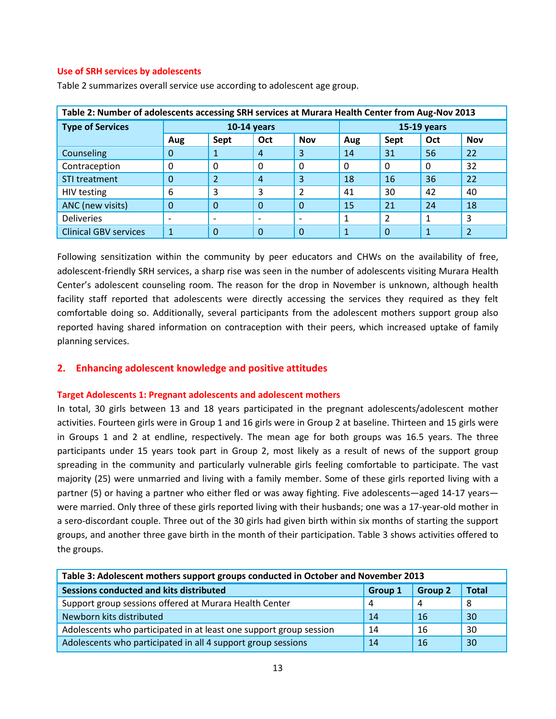#### **Use of SRH services by adolescents**

| Table 2: Number of adolescents accessing SRH services at Murara Health Center from Aug-Nov 2013 |               |                          |                        |                          |              |           |          |                |
|-------------------------------------------------------------------------------------------------|---------------|--------------------------|------------------------|--------------------------|--------------|-----------|----------|----------------|
| <b>Type of Services</b>                                                                         | $10-14$ years |                          |                        | <b>15-19 years</b>       |              |           |          |                |
|                                                                                                 | Aug           | Sept                     | Oct                    | <b>Nov</b>               | Aug          | Sept      | Oct      | <b>Nov</b>     |
| Counseling                                                                                      | $\mathbf 0$   | 1                        | $\overline{A}$         | 3                        | 14           | 31        | 56       | 22             |
| Contraception                                                                                   | 0             | 0                        | 0                      | $\Omega$                 | $\Omega$     |           | $\Omega$ | 32             |
| STI treatment                                                                                   | $\Omega$      | $\overline{2}$           | $\boldsymbol{\Lambda}$ | 3                        | 18           | <b>16</b> | 36       | 22             |
| HIV testing                                                                                     | 6             | 3                        | 3                      | $\overline{2}$           | 41           | 30        | 42       | 40             |
| ANC (new visits)                                                                                | $\Omega$      | $\Omega$                 | $\Omega$               | $\Omega$                 | 15           | 21        | 24       | 18             |
| <b>Deliveries</b>                                                                               |               | $\overline{\phantom{a}}$ |                        | $\overline{\phantom{a}}$ | $\mathbf{1}$ |           |          | 3              |
| <b>Clinical GBV services</b>                                                                    |               | $\Omega$                 | $\Omega$               | $\Omega$                 | 1            | $\Omega$  | 1        | $\overline{2}$ |

Table 2 summarizes overall service use according to adolescent age group.

Following sensitization within the community by peer educators and CHWs on the availability of free, adolescent-friendly SRH services, a sharp rise was seen in the number of adolescents visiting Murara Health Center's adolescent counseling room. The reason for the drop in November is unknown, although health facility staff reported that adolescents were directly accessing the services they required as they felt comfortable doing so. Additionally, several participants from the adolescent mothers support group also reported having shared information on contraception with their peers, which increased uptake of family planning services.

## **2. Enhancing adolescent knowledge and positive attitudes**

#### **Target Adolescents 1: Pregnant adolescents and adolescent mothers**

In total, 30 girls between 13 and 18 years participated in the pregnant adolescents/adolescent mother activities. Fourteen girls were in Group 1 and 16 girls were in Group 2 at baseline. Thirteen and 15 girls were in Groups 1 and 2 at endline, respectively. The mean age for both groups was 16.5 years. The three participants under 15 years took part in Group 2, most likely as a result of news of the support group spreading in the community and particularly vulnerable girls feeling comfortable to participate. The vast majority (25) were unmarried and living with a family member. Some of these girls reported living with a partner (5) or having a partner who either fled or was away fighting. Five adolescents—aged 14-17 years were married. Only three of these girls reported living with their husbands; one was a 17-year-old mother in a sero-discordant couple. Three out of the 30 girls had given birth within six months of starting the support groups, and another three gave birth in the month of their participation. Table 3 shows activities offered to the groups.

| Table 3: Adolescent mothers support groups conducted in October and November 2013    |    |    |    |  |  |  |
|--------------------------------------------------------------------------------------|----|----|----|--|--|--|
| Sessions conducted and kits distributed<br><b>Total</b><br><b>Group 2</b><br>Group 1 |    |    |    |  |  |  |
| Support group sessions offered at Murara Health Center                               | 4  | 4  | -8 |  |  |  |
| Newborn kits distributed                                                             | 14 | 16 | 30 |  |  |  |
| Adolescents who participated in at least one support group session                   | 14 | 16 | 30 |  |  |  |
| Adolescents who participated in all 4 support group sessions                         | 14 | 16 | 30 |  |  |  |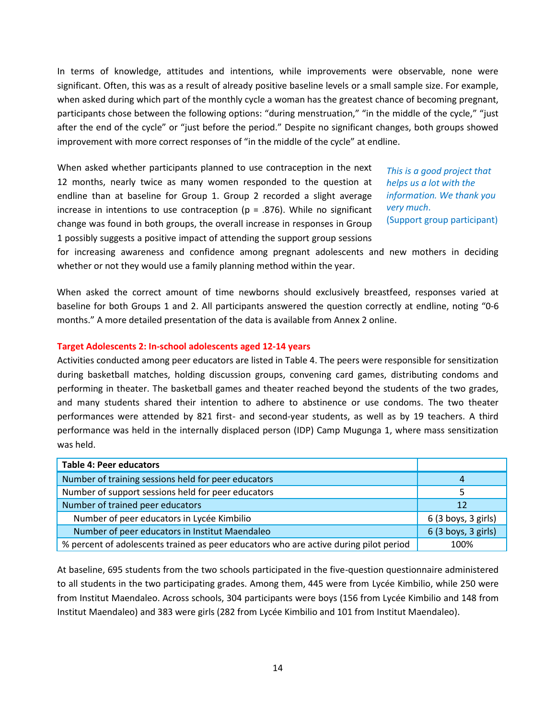In terms of knowledge, attitudes and intentions, while improvements were observable, none were significant. Often, this was as a result of already positive baseline levels or a small sample size. For example, when asked during which part of the monthly cycle a woman has the greatest chance of becoming pregnant, participants chose between the following options: "during menstruation," "in the middle of the cycle," "just after the end of the cycle" or "just before the period." Despite no significant changes, both groups showed improvement with more correct responses of "in the middle of the cycle" at endline.

When asked whether participants planned to use contraception in the next 12 months, nearly twice as many women responded to the question at endline than at baseline for Group 1. Group 2 recorded a slight average increase in intentions to use contraception ( $p = .876$ ). While no significant change was found in both groups, the overall increase in responses in Group 1 possibly suggests a positive impact of attending the support group sessions

*This is a good project that helps us a lot with the information. We thank you very much*. (Support group participant)

for increasing awareness and confidence among pregnant adolescents and new mothers in deciding whether or not they would use a family planning method within the year.

When asked the correct amount of time newborns should exclusively breastfeed, responses varied at baseline for both Groups 1 and 2. All participants answered the question correctly at endline, noting "0-6 months." A more detailed presentation of the data is available from Annex 2 online.

#### **Target Adolescents 2: In-school adolescents aged 12-14 years**

Activities conducted among peer educators are listed in Table 4. The peers were responsible for sensitization during basketball matches, holding discussion groups, convening card games, distributing condoms and performing in theater. The basketball games and theater reached beyond the students of the two grades, and many students shared their intention to adhere to abstinence or use condoms. The two theater performances were attended by 821 first- and second-year students, as well as by 19 teachers. A third performance was held in the internally displaced person (IDP) Camp Mugunga 1, where mass sensitization was held.

| <b>Table 4: Peer educators</b>                                                        |                     |
|---------------------------------------------------------------------------------------|---------------------|
| Number of training sessions held for peer educators                                   | 4                   |
| Number of support sessions held for peer educators                                    |                     |
| Number of trained peer educators                                                      | 12                  |
| Number of peer educators in Lycée Kimbilio                                            | 6 (3 boys, 3 girls) |
| Number of peer educators in Institut Maendaleo                                        | 6 (3 boys, 3 girls) |
| % percent of adolescents trained as peer educators who are active during pilot period | 100%                |

At baseline, 695 students from the two schools participated in the five-question questionnaire administered to all students in the two participating grades. Among them, 445 were from Lycée Kimbilio, while 250 were from Institut Maendaleo. Across schools, 304 participants were boys (156 from Lycée Kimbilio and 148 from Institut Maendaleo) and 383 were girls (282 from Lycée Kimbilio and 101 from Institut Maendaleo).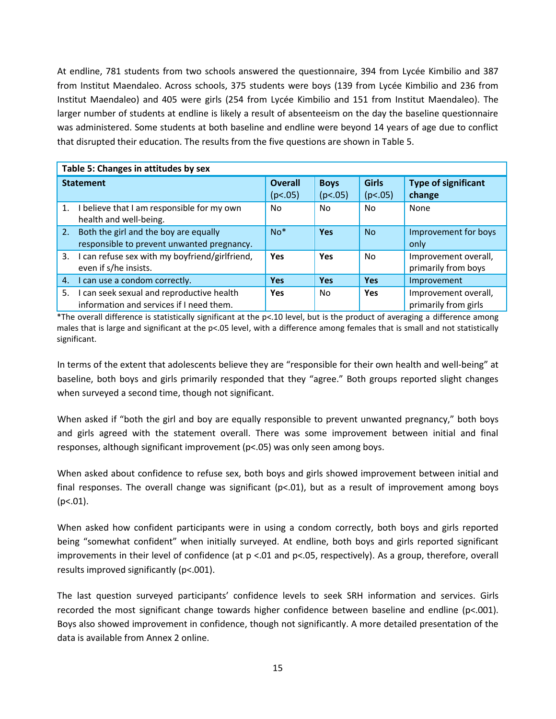At endline, 781 students from two schools answered the questionnaire, 394 from Lycée Kimbilio and 387 from Institut Maendaleo. Across schools, 375 students were boys (139 from Lycée Kimbilio and 236 from Institut Maendaleo) and 405 were girls (254 from Lycée Kimbilio and 151 from Institut Maendaleo). The larger number of students at endline is likely a result of absenteeism on the day the baseline questionnaire was administered. Some students at both baseline and endline were beyond 14 years of age due to conflict that disrupted their education. The results from the five questions are shown in Table 5.

|                  | Table 5: Changes in attitudes by sex                                                  |                           |                        |                         |                                              |  |  |  |
|------------------|---------------------------------------------------------------------------------------|---------------------------|------------------------|-------------------------|----------------------------------------------|--|--|--|
| <b>Statement</b> |                                                                                       | <b>Overall</b><br>(p<.05) | <b>Boys</b><br>(p<.05) | <b>Girls</b><br>(p<.05) | <b>Type of significant</b><br>change         |  |  |  |
| 1.               | I believe that I am responsible for my own<br>health and well-being.                  | No.                       | No.                    | No.                     | None                                         |  |  |  |
| 2.               | Both the girl and the boy are equally<br>responsible to prevent unwanted pregnancy.   | $No*$                     | <b>Yes</b>             | <b>No</b>               | Improvement for boys<br>only                 |  |  |  |
| 3.               | I can refuse sex with my boyfriend/girlfriend,<br>even if s/he insists.               | Yes                       | Yes                    | No                      | Improvement overall,<br>primarily from boys  |  |  |  |
| 4.               | I can use a condom correctly.                                                         | <b>Yes</b>                | <b>Yes</b>             | <b>Yes</b>              | Improvement                                  |  |  |  |
| 5.               | I can seek sexual and reproductive health<br>information and services if I need them. | <b>Yes</b>                | No.                    | Yes                     | Improvement overall,<br>primarily from girls |  |  |  |

\*The overall difference is statistically significant at the p<.10 level, but is the product of averaging a difference among males that is large and significant at the p<.05 level, with a difference among females that is small and not statistically significant.

In terms of the extent that adolescents believe they are "responsible for their own health and well-being" at baseline, both boys and girls primarily responded that they "agree." Both groups reported slight changes when surveyed a second time, though not significant.

When asked if "both the girl and boy are equally responsible to prevent unwanted pregnancy," both boys and girls agreed with the statement overall. There was some improvement between initial and final responses, although significant improvement (p<.05) was only seen among boys.

When asked about confidence to refuse sex, both boys and girls showed improvement between initial and final responses. The overall change was significant ( $p<0.01$ ), but as a result of improvement among boys  $(p<.01)$ .

When asked how confident participants were in using a condom correctly, both boys and girls reported being "somewhat confident" when initially surveyed. At endline, both boys and girls reported significant improvements in their level of confidence (at p <.01 and p<.05, respectively). As a group, therefore, overall results improved significantly (p<.001).

The last question surveyed participants' confidence levels to seek SRH information and services. Girls recorded the most significant change towards higher confidence between baseline and endline (p<.001). Boys also showed improvement in confidence, though not significantly. A more detailed presentation of the data is available from Annex 2 online.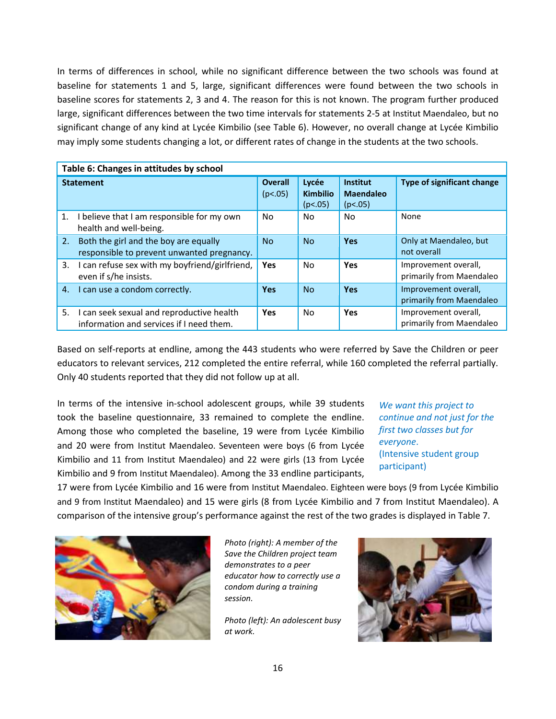In terms of differences in school, while no significant difference between the two schools was found at baseline for statements 1 and 5, large, significant differences were found between the two schools in baseline scores for statements 2, 3 and 4. The reason for this is not known. The program further produced large, significant differences between the two time intervals for statements 2-5 at Institut Maendaleo, but no significant change of any kind at Lycée Kimbilio (see Table 6). However, no overall change at Lycée Kimbilio may imply some students changing a lot, or different rates of change in the students at the two schools.

|                  | Table 6: Changes in attitudes by school                                               |                           |                                     |                                                |                                                  |  |  |  |
|------------------|---------------------------------------------------------------------------------------|---------------------------|-------------------------------------|------------------------------------------------|--------------------------------------------------|--|--|--|
| <b>Statement</b> |                                                                                       | <b>Overall</b><br>(p<.05) | Lycée<br><b>Kimbilio</b><br>(p<.05) | <b>Institut</b><br><b>Maendaleo</b><br>(p<.05) | <b>Type of significant change</b>                |  |  |  |
| 1.               | I believe that I am responsible for my own<br>health and well-being.                  | No.                       | No.                                 | N <sub>0</sub>                                 | None                                             |  |  |  |
| 2.               | Both the girl and the boy are equally<br>responsible to prevent unwanted pregnancy.   | <b>No</b>                 | <b>No</b>                           | <b>Yes</b>                                     | Only at Maendaleo, but<br>not overall            |  |  |  |
|                  | 3. I can refuse sex with my boyfriend/girlfriend,<br>even if s/he insists.            | <b>Yes</b>                | No.                                 | Yes                                            | Improvement overall,<br>primarily from Maendaleo |  |  |  |
| 4.               | I can use a condom correctly.                                                         | <b>Yes</b>                | <b>No</b>                           | Yes                                            | Improvement overall,<br>primarily from Maendaleo |  |  |  |
| 5.               | I can seek sexual and reproductive health<br>information and services if I need them. | <b>Yes</b>                | No.                                 | Yes                                            | Improvement overall,<br>primarily from Maendaleo |  |  |  |

Based on self-reports at endline, among the 443 students who were referred by Save the Children or peer educators to relevant services, 212 completed the entire referral, while 160 completed the referral partially. Only 40 students reported that they did not follow up at all.

In terms of the intensive in-school adolescent groups, while 39 students took the baseline questionnaire, 33 remained to complete the endline. Among those who completed the baseline, 19 were from Lycée Kimbilio and 20 were from Institut Maendaleo. Seventeen were boys (6 from Lycée Kimbilio and 11 from Institut Maendaleo) and 22 were girls (13 from Lycée Kimbilio and 9 from Institut Maendaleo). Among the 33 endline participants,

*We want this project to continue and not just for the first two classes but for everyone*. (Intensive student group participant)

17 were from Lycée Kimbilio and 16 were from Institut Maendaleo. Eighteen were boys (9 from Lycée Kimbilio and 9 from Institut Maendaleo) and 15 were girls (8 from Lycée Kimbilio and 7 from Institut Maendaleo). A comparison of the intensive group's performance against the rest of the two grades is displayed in Table 7.



*Photo (right): A member of the Save the Children project team demonstrates to a peer educator how to correctly use a condom during a training session.*

*Photo (left): An adolescent busy at work.*

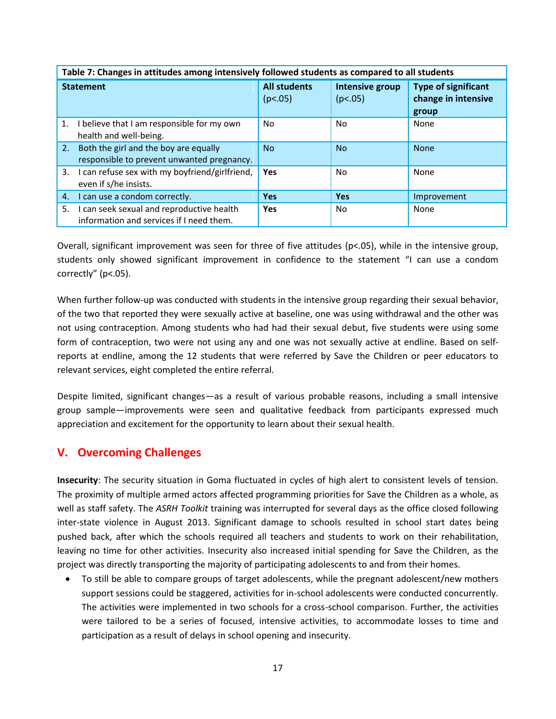|                  | Table 7: Changes in attitudes among intensively followed students as compared to all students |                                |                            |                                                            |  |  |  |
|------------------|-----------------------------------------------------------------------------------------------|--------------------------------|----------------------------|------------------------------------------------------------|--|--|--|
| <b>Statement</b> |                                                                                               | <b>All students</b><br>(p<.05) | Intensive group<br>(p<.05) | <b>Type of significant</b><br>change in intensive<br>group |  |  |  |
| 1.               | I believe that I am responsible for my own<br>health and well-being.                          | No.                            | No                         | None                                                       |  |  |  |
|                  | 2. Both the girl and the boy are equally<br>responsible to prevent unwanted pregnancy.        | No.                            | <b>No</b>                  | <b>None</b>                                                |  |  |  |
|                  | 3. I can refuse sex with my boyfriend/girlfriend,<br>even if s/he insists.                    | <b>Yes</b>                     | No                         | None                                                       |  |  |  |
| 4.               | I can use a condom correctly.                                                                 | <b>Yes</b>                     | <b>Yes</b>                 | Improvement                                                |  |  |  |
| 5.               | I can seek sexual and reproductive health<br>information and services if I need them.         | <b>Yes</b>                     | No                         | None                                                       |  |  |  |

**Table 7: Changes in attitudes among intensively followed students as compared to all students**

Overall, significant improvement was seen for three of five attitudes (p<.05), while in the intensive group, students only showed significant improvement in confidence to the statement "I can use a condom correctly" (p<.05).

When further follow-up was conducted with students in the intensive group regarding their sexual behavior, of the two that reported they were sexually active at baseline, one was using withdrawal and the other was not using contraception. Among students who had had their sexual debut, five students were using some form of contraception, two were not using any and one was not sexually active at endline. Based on selfreports at endline, among the 12 students that were referred by Save the Children or peer educators to relevant services, eight completed the entire referral.

Despite limited, significant changes—as a result of various probable reasons, including a small intensive group sample—improvements were seen and qualitative feedback from participants expressed much appreciation and excitement for the opportunity to learn about their sexual health.

# **V. Overcoming Challenges**

**Insecurity**: The security situation in Goma fluctuated in cycles of high alert to consistent levels of tension. The proximity of multiple armed actors affected programming priorities for Save the Children as a whole, as well as staff safety. The *ASRH Toolkit* training was interrupted for several days as the office closed following inter-state violence in August 2013. Significant damage to schools resulted in school start dates being pushed back, after which the schools required all teachers and students to work on their rehabilitation, leaving no time for other activities. Insecurity also increased initial spending for Save the Children, as the project was directly transporting the majority of participating adolescents to and from their homes.

 To still be able to compare groups of target adolescents, while the pregnant adolescent/new mothers support sessions could be staggered, activities for in-school adolescents were conducted concurrently. The activities were implemented in two schools for a cross-school comparison. Further, the activities were tailored to be a series of focused, intensive activities, to accommodate losses to time and participation as a result of delays in school opening and insecurity.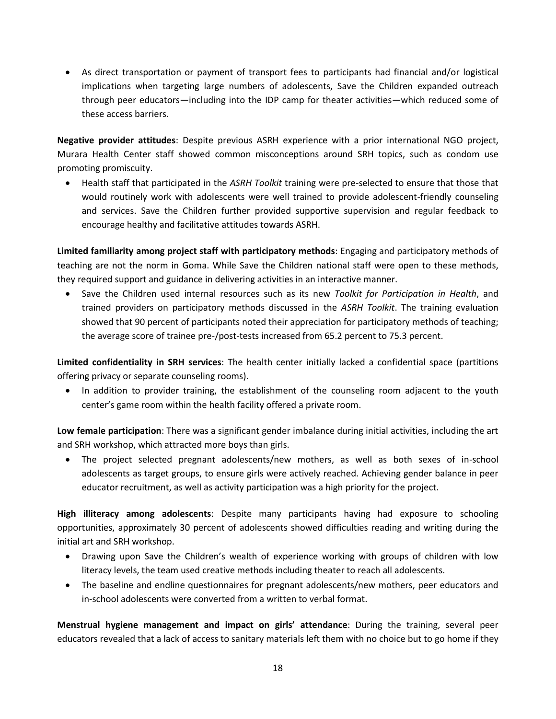As direct transportation or payment of transport fees to participants had financial and/or logistical implications when targeting large numbers of adolescents, Save the Children expanded outreach through peer educators—including into the IDP camp for theater activities—which reduced some of these access barriers.

**Negative provider attitudes**: Despite previous ASRH experience with a prior international NGO project, Murara Health Center staff showed common misconceptions around SRH topics, such as condom use promoting promiscuity.

 Health staff that participated in the *ASRH Toolkit* training were pre-selected to ensure that those that would routinely work with adolescents were well trained to provide adolescent-friendly counseling and services. Save the Children further provided supportive supervision and regular feedback to encourage healthy and facilitative attitudes towards ASRH.

**Limited familiarity among project staff with participatory methods**: Engaging and participatory methods of teaching are not the norm in Goma. While Save the Children national staff were open to these methods, they required support and guidance in delivering activities in an interactive manner.

 Save the Children used internal resources such as its new *Toolkit for Participation in Health*, and trained providers on participatory methods discussed in the *ASRH Toolkit*. The training evaluation showed that 90 percent of participants noted their appreciation for participatory methods of teaching; the average score of trainee pre-/post-tests increased from 65.2 percent to 75.3 percent.

**Limited confidentiality in SRH services**: The health center initially lacked a confidential space (partitions offering privacy or separate counseling rooms).

• In addition to provider training, the establishment of the counseling room adjacent to the youth center's game room within the health facility offered a private room.

**Low female participation**: There was a significant gender imbalance during initial activities, including the art and SRH workshop, which attracted more boys than girls.

 The project selected pregnant adolescents/new mothers, as well as both sexes of in-school adolescents as target groups, to ensure girls were actively reached. Achieving gender balance in peer educator recruitment, as well as activity participation was a high priority for the project.

**High illiteracy among adolescents**: Despite many participants having had exposure to schooling opportunities, approximately 30 percent of adolescents showed difficulties reading and writing during the initial art and SRH workshop.

- Drawing upon Save the Children's wealth of experience working with groups of children with low literacy levels, the team used creative methods including theater to reach all adolescents.
- The baseline and endline questionnaires for pregnant adolescents/new mothers, peer educators and in-school adolescents were converted from a written to verbal format.

**Menstrual hygiene management and impact on girls' attendance**: During the training, several peer educators revealed that a lack of access to sanitary materials left them with no choice but to go home if they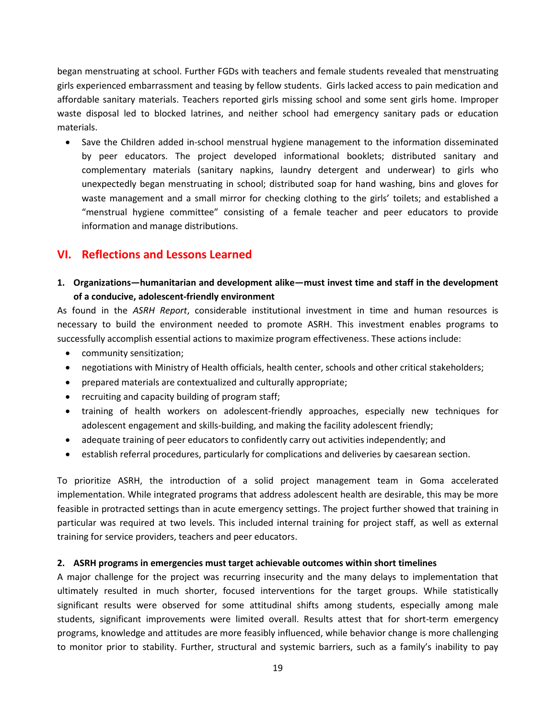began menstruating at school. Further FGDs with teachers and female students revealed that menstruating girls experienced embarrassment and teasing by fellow students. Girls lacked access to pain medication and affordable sanitary materials. Teachers reported girls missing school and some sent girls home. Improper waste disposal led to blocked latrines, and neither school had emergency sanitary pads or education materials.

• Save the Children added in-school menstrual hygiene management to the information disseminated by peer educators. The project developed informational booklets; distributed sanitary and complementary materials (sanitary napkins, laundry detergent and underwear) to girls who unexpectedly began menstruating in school; distributed soap for hand washing, bins and gloves for waste management and a small mirror for checking clothing to the girls' toilets; and established a "menstrual hygiene committee" consisting of a female teacher and peer educators to provide information and manage distributions.

# **VI. Reflections and Lessons Learned**

**1. Organizations—humanitarian and development alike—must invest time and staff in the development of a conducive, adolescent-friendly environment**

As found in the *ASRH Report*, considerable institutional investment in time and human resources is necessary to build the environment needed to promote ASRH. This investment enables programs to successfully accomplish essential actions to maximize program effectiveness. These actions include:

- community sensitization;
- negotiations with Ministry of Health officials, health center, schools and other critical stakeholders;
- prepared materials are contextualized and culturally appropriate;
- recruiting and capacity building of program staff;
- training of health workers on adolescent-friendly approaches, especially new techniques for adolescent engagement and skills-building, and making the facility adolescent friendly;
- adequate training of peer educators to confidently carry out activities independently; and
- establish referral procedures, particularly for complications and deliveries by caesarean section.

To prioritize ASRH, the introduction of a solid project management team in Goma accelerated implementation. While integrated programs that address adolescent health are desirable, this may be more feasible in protracted settings than in acute emergency settings. The project further showed that training in particular was required at two levels. This included internal training for project staff, as well as external training for service providers, teachers and peer educators.

## **2. ASRH programs in emergencies must target achievable outcomes within short timelines**

A major challenge for the project was recurring insecurity and the many delays to implementation that ultimately resulted in much shorter, focused interventions for the target groups. While statistically significant results were observed for some attitudinal shifts among students, especially among male students, significant improvements were limited overall. Results attest that for short-term emergency programs, knowledge and attitudes are more feasibly influenced, while behavior change is more challenging to monitor prior to stability. Further, structural and systemic barriers, such as a family's inability to pay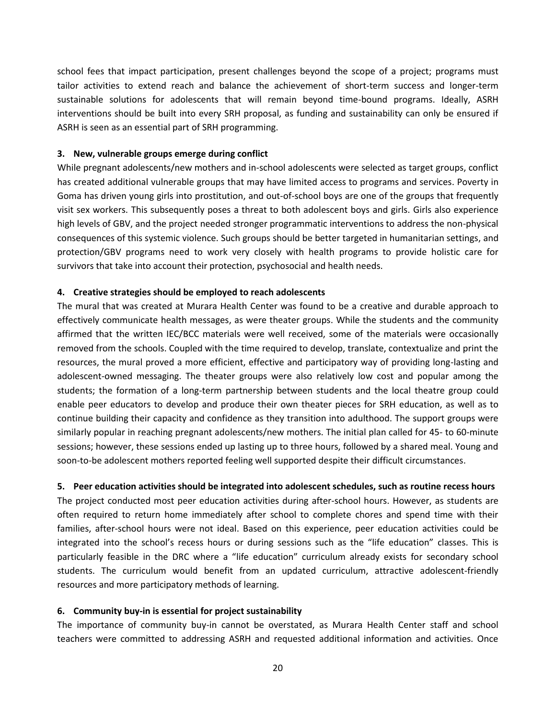school fees that impact participation, present challenges beyond the scope of a project; programs must tailor activities to extend reach and balance the achievement of short-term success and longer-term sustainable solutions for adolescents that will remain beyond time-bound programs. Ideally, ASRH interventions should be built into every SRH proposal, as funding and sustainability can only be ensured if ASRH is seen as an essential part of SRH programming.

#### **3. New, vulnerable groups emerge during conflict**

While pregnant adolescents/new mothers and in-school adolescents were selected as target groups, conflict has created additional vulnerable groups that may have limited access to programs and services. Poverty in Goma has driven young girls into prostitution, and out-of-school boys are one of the groups that frequently visit sex workers. This subsequently poses a threat to both adolescent boys and girls. Girls also experience high levels of GBV, and the project needed stronger programmatic interventions to address the non-physical consequences of this systemic violence. Such groups should be better targeted in humanitarian settings, and protection/GBV programs need to work very closely with health programs to provide holistic care for survivors that take into account their protection, psychosocial and health needs.

#### **4. Creative strategies should be employed to reach adolescents**

The mural that was created at Murara Health Center was found to be a creative and durable approach to effectively communicate health messages, as were theater groups. While the students and the community affirmed that the written IEC/BCC materials were well received, some of the materials were occasionally removed from the schools. Coupled with the time required to develop, translate, contextualize and print the resources, the mural proved a more efficient, effective and participatory way of providing long-lasting and adolescent-owned messaging. The theater groups were also relatively low cost and popular among the students; the formation of a long-term partnership between students and the local theatre group could enable peer educators to develop and produce their own theater pieces for SRH education, as well as to continue building their capacity and confidence as they transition into adulthood. The support groups were similarly popular in reaching pregnant adolescents/new mothers. The initial plan called for 45- to 60-minute sessions; however, these sessions ended up lasting up to three hours, followed by a shared meal. Young and soon-to-be adolescent mothers reported feeling well supported despite their difficult circumstances.

## **5. Peer education activities should be integrated into adolescent schedules, such as routine recess hours**

The project conducted most peer education activities during after-school hours. However, as students are often required to return home immediately after school to complete chores and spend time with their families, after-school hours were not ideal. Based on this experience, peer education activities could be integrated into the school's recess hours or during sessions such as the "life education" classes. This is particularly feasible in the DRC where a "life education" curriculum already exists for secondary school students. The curriculum would benefit from an updated curriculum, attractive adolescent-friendly resources and more participatory methods of learning.

## **6. Community buy-in is essential for project sustainability**

The importance of community buy-in cannot be overstated, as Murara Health Center staff and school teachers were committed to addressing ASRH and requested additional information and activities. Once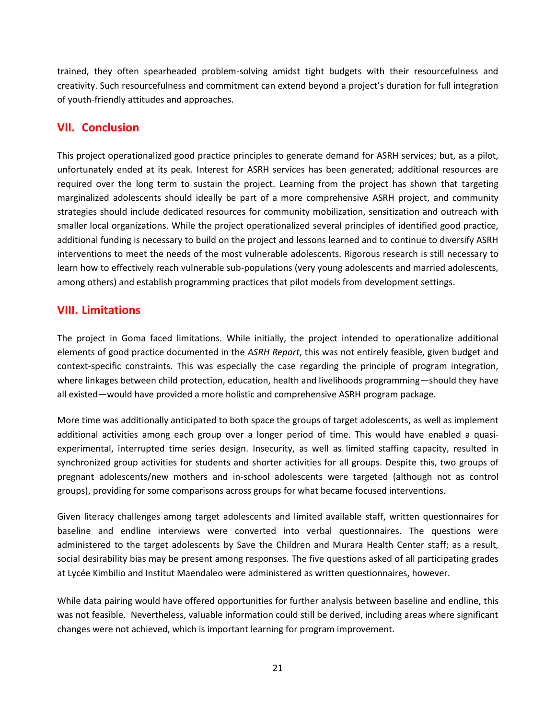trained, they often spearheaded problem-solving amidst tight budgets with their resourcefulness and creativity. Such resourcefulness and commitment can extend beyond a project's duration for full integration of youth-friendly attitudes and approaches.

# **VII. Conclusion**

This project operationalized good practice principles to generate demand for ASRH services; but, as a pilot, unfortunately ended at its peak. Interest for ASRH services has been generated; additional resources are required over the long term to sustain the project. Learning from the project has shown that targeting marginalized adolescents should ideally be part of a more comprehensive ASRH project, and community strategies should include dedicated resources for community mobilization, sensitization and outreach with smaller local organizations. While the project operationalized several principles of identified good practice, additional funding is necessary to build on the project and lessons learned and to continue to diversify ASRH interventions to meet the needs of the most vulnerable adolescents. Rigorous research is still necessary to learn how to effectively reach vulnerable sub-populations (very young adolescents and married adolescents, among others) and establish programming practices that pilot models from development settings.

# **VIII. Limitations**

The project in Goma faced limitations. While initially, the project intended to operationalize additional elements of good practice documented in the *ASRH Report*, this was not entirely feasible, given budget and context-specific constraints. This was especially the case regarding the principle of program integration, where linkages between child protection, education, health and livelihoods programming—should they have all existed—would have provided a more holistic and comprehensive ASRH program package.

More time was additionally anticipated to both space the groups of target adolescents, as well as implement additional activities among each group over a longer period of time. This would have enabled a quasiexperimental, interrupted time series design. Insecurity, as well as limited staffing capacity, resulted in synchronized group activities for students and shorter activities for all groups. Despite this, two groups of pregnant adolescents/new mothers and in-school adolescents were targeted (although not as control groups), providing for some comparisons across groups for what became focused interventions.

Given literacy challenges among target adolescents and limited available staff, written questionnaires for baseline and endline interviews were converted into verbal questionnaires. The questions were administered to the target adolescents by Save the Children and Murara Health Center staff; as a result, social desirability bias may be present among responses. The five questions asked of all participating grades at Lycée Kimbilio and Institut Maendaleo were administered as written questionnaires, however.

While data pairing would have offered opportunities for further analysis between baseline and endline, this was not feasible. Nevertheless, valuable information could still be derived, including areas where significant changes were not achieved, which is important learning for program improvement.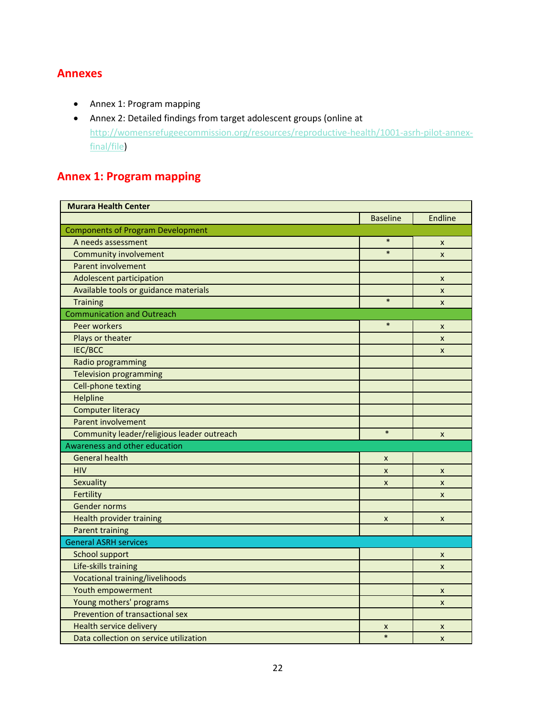# **Annexes**

- Annex 1: Program mapping
- Annex 2: Detailed findings from target adolescent groups (online at [http://womensrefugeecommission.org/resources/reproductive-health/1001-asrh-pilot-annex](http://womensrefugeecommission.org/resources/reproductive-health/1001-asrh-pilot-annex-final/file)[final/file\)](http://womensrefugeecommission.org/resources/reproductive-health/1001-asrh-pilot-annex-final/file)

# **Annex 1: Program mapping**

| <b>Murara Health Center</b>                |                  |                           |
|--------------------------------------------|------------------|---------------------------|
|                                            | <b>Baseline</b>  | Endline                   |
| <b>Components of Program Development</b>   |                  |                           |
| A needs assessment                         | $\ast$           | X                         |
| <b>Community involvement</b>               | $\ast$           | $\boldsymbol{\mathsf{x}}$ |
| <b>Parent involvement</b>                  |                  |                           |
| Adolescent participation                   |                  | X                         |
| Available tools or guidance materials      |                  | X                         |
| <b>Training</b>                            | $\ast$           | $\pmb{\times}$            |
| <b>Communication and Outreach</b>          |                  |                           |
| Peer workers                               | $\ast$           | X                         |
| Plays or theater                           |                  | X                         |
| IEC/BCC                                    |                  | X                         |
| Radio programming                          |                  |                           |
| <b>Television programming</b>              |                  |                           |
| Cell-phone texting                         |                  |                           |
| Helpline                                   |                  |                           |
| <b>Computer literacy</b>                   |                  |                           |
| Parent involvement                         |                  |                           |
| Community leader/religious leader outreach | $\ast$           | X                         |
| Awareness and other education              |                  |                           |
| <b>General health</b>                      | X                |                           |
| <b>HIV</b>                                 | $\boldsymbol{x}$ | X                         |
| Sexuality                                  | $\pmb{\times}$   | $\pmb{\times}$            |
| Fertility                                  |                  | $\mathsf{x}$              |
| <b>Gender norms</b>                        |                  |                           |
| Health provider training                   | X                | X                         |
| <b>Parent training</b>                     |                  |                           |
| <b>General ASRH services</b>               |                  |                           |
| <b>School support</b>                      |                  | X                         |
| Life-skills training                       |                  | $\pmb{\times}$            |
| Vocational training/livelihoods            |                  |                           |
| Youth empowerment                          |                  | X                         |
| Young mothers' programs                    |                  | X                         |
| Prevention of transactional sex            |                  |                           |
| <b>Health service delivery</b>             | X                | X                         |
| Data collection on service utilization     | $\ast$           | X                         |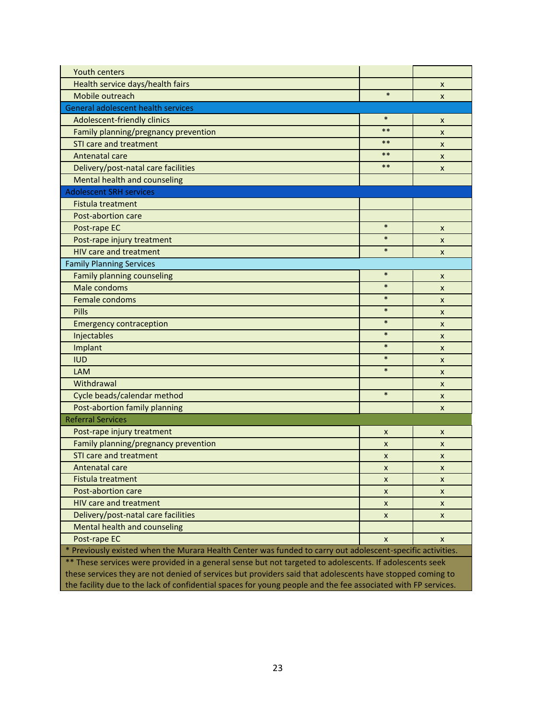| <b>Youth centers</b>                                                                                          |                |   |  |  |  |
|---------------------------------------------------------------------------------------------------------------|----------------|---|--|--|--|
| Health service days/health fairs                                                                              |                | X |  |  |  |
| Mobile outreach                                                                                               | $\ast$         | X |  |  |  |
| General adolescent health services                                                                            |                |   |  |  |  |
| Adolescent-friendly clinics                                                                                   | $\ast$         | X |  |  |  |
| Family planning/pregnancy prevention                                                                          | $***$          | X |  |  |  |
| <b>STI care and treatment</b>                                                                                 | $***$          | X |  |  |  |
| Antenatal care                                                                                                | $***$          | X |  |  |  |
| Delivery/post-natal care facilities                                                                           | $***$          | X |  |  |  |
| Mental health and counseling                                                                                  |                |   |  |  |  |
| <b>Adolescent SRH services</b>                                                                                |                |   |  |  |  |
| Fistula treatment                                                                                             |                |   |  |  |  |
| Post-abortion care                                                                                            |                |   |  |  |  |
| Post-rape EC                                                                                                  | $\ast$         | X |  |  |  |
| Post-rape injury treatment                                                                                    | $\ast$         | X |  |  |  |
| <b>HIV care and treatment</b>                                                                                 | $\ast$         | X |  |  |  |
| <b>Family Planning Services</b>                                                                               |                |   |  |  |  |
| Family planning counseling                                                                                    | $\ast$         | X |  |  |  |
| Male condoms                                                                                                  | $\ast$         | X |  |  |  |
| Female condoms                                                                                                | $\ast$         | X |  |  |  |
| Pills                                                                                                         | $\ast$         | X |  |  |  |
| <b>Emergency contraception</b>                                                                                | $\ast$         | X |  |  |  |
| Injectables                                                                                                   | $\ast$         | X |  |  |  |
| Implant                                                                                                       | $\ast$         | X |  |  |  |
| <b>IUD</b>                                                                                                    | $\ast$         | X |  |  |  |
| <b>LAM</b>                                                                                                    | $\ast$         | X |  |  |  |
| Withdrawal                                                                                                    |                | X |  |  |  |
| Cycle beads/calendar method                                                                                   | $\ast$         | X |  |  |  |
| Post-abortion family planning                                                                                 |                | X |  |  |  |
| <b>Referral Services</b>                                                                                      |                |   |  |  |  |
| Post-rape injury treatment                                                                                    | X              | X |  |  |  |
| Family planning/pregnancy prevention                                                                          | X              | X |  |  |  |
| <b>STI care and treatment</b>                                                                                 | X              | X |  |  |  |
| Antenatal care                                                                                                | X              | X |  |  |  |
| <b>Fistula treatment</b>                                                                                      | X              | X |  |  |  |
| Post-abortion care                                                                                            | X              | X |  |  |  |
| HIV care and treatment                                                                                        | X              | X |  |  |  |
| Delivery/post-natal care facilities                                                                           | $\pmb{\times}$ | X |  |  |  |
| Mental health and counseling                                                                                  |                |   |  |  |  |
| Post-rape EC                                                                                                  | X              | X |  |  |  |
| * Previously existed when the Murara Health Center was funded to carry out adolescent-specific activities.    |                |   |  |  |  |
| ** These services were provided in a general sense but not targeted to adolescents. If adolescents seek       |                |   |  |  |  |
| these services they are not denied of services but providers said that adolescents have stopped coming to     |                |   |  |  |  |
| the facility due to the lack of confidential spaces for young people and the fee associated with FP services. |                |   |  |  |  |